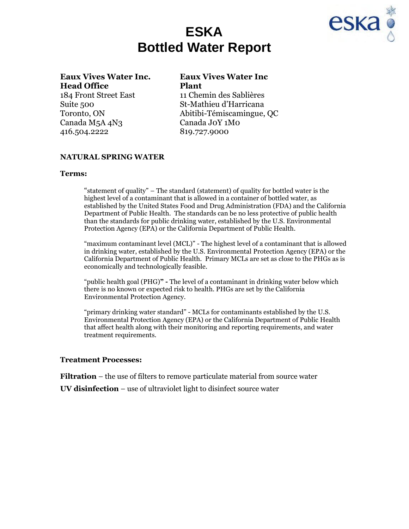



# **Eaux Vives Water Inc. Eaux Vives Water Inc Head Office Plant** 184 Front Street East 11 Chemin des Sablières

Canada M5A 4N3 Canada J0Y 1M0 416.504.2222 819.727.9000

Suite 500 St-Mathieu d'Harricana Toronto, ON Abitibi-Témiscamingue, QC

## **NATURAL SPRING WATER**

### **Terms:**

"statement of quality" – The standard (statement) of quality for bottled water is the highest level of a contaminant that is allowed in a container of bottled water, as established by the United States Food and Drug Administration (FDA) and the California Department of Public Health. The standards can be no less protective of public health than the standards for public drinking water, established by the U.S. Environmental Protection Agency (EPA) or the California Department of Public Health.

"maximum contaminant level (MCL)" - The highest level of a contaminant that is allowed in drinking water, established by the U.S. Environmental Protection Agency (EPA) or the California Department of Public Health. Primary MCLs are set as close to the PHGs as is economically and technologically feasible.

"public health goal (PHG)**" -** The level of a contaminant in drinking water below which there is no known or expected risk to health. PHGs are set by the California Environmental Protection Agency.

"primary drinking water standard" - MCLs for contaminants established by the U.S. Environmental Protection Agency (EPA) or the California Department of Public Health that affect health along with their monitoring and reporting requirements, and water treatment requirements.

### **Treatment Processes:**

**Filtration** – the use of filters to remove particulate material from source water

**UV disinfection** – use of ultraviolet light to disinfect source water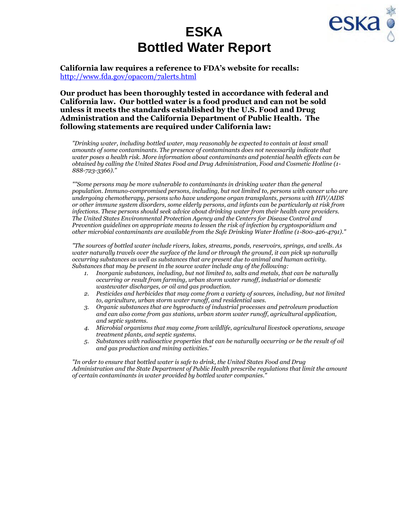



**California law requires a reference to FDA's website for recalls:**  <http://www.fda.gov/opacom/7alerts.html>

**Our product has been thoroughly tested in accordance with federal and California law. Our bottled water is a food product and can not be sold unless it meets the standards established by the U.S. Food and Drug Administration and the California Department of Public Health. The following statements are required under California law:**

*"Drinking water, including bottled water, may reasonably be expected to contain at least small amounts of some contaminants. The presence of contaminants does not necessarily indicate that water poses a health risk. More information about contaminants and potential health effects can be obtained by calling the United States Food and Drug Administration, Food and Cosmetic Hotline (1- 888-723-3366)."*

*""Some persons may be more vulnerable to contaminants in drinking water than the general population. Immuno-compromised persons, including, but not limited to, persons with cancer who are undergoing chemotherapy, persons who have undergone organ transplants, persons with HIV/AIDS or other immune system disorders, some elderly persons, and infants can be particularly at risk from infections. These persons should seek advice about drinking water from their health care providers. The United States Environmental Protection Agency and the Centers for Disease Control and Prevention guidelines on appropriate means to lessen the risk of infection by cryptosporidium and other microbial contaminants are available from the Safe Drinking Water Hotline (1-800-426-4791)."*

*"The sources of bottled water include rivers, lakes, streams, ponds, reservoirs, springs, and wells. As water naturally travels over the surface of the land or through the ground, it can pick up naturally occurring substances as well as substances that are present due to animal and human activity. Substances that may be present in the source water include any of the following:*

- *1. Inorganic substances, including, but not limited to, salts and metals, that can be naturally occurring or result from farming, urban storm water runoff, industrial or domestic wastewater discharges, or oil and gas production.*
- *2. Pesticides and herbicides that may come from a variety of sources, including, but not limited to, agriculture, urban storm water runoff, and residential uses.*
- *3. Organic substances that are byproducts of industrial processes and petroleum production and can also come from gas stations, urban storm water runoff, agricultural application, and septic systems.*
- *4. Microbial organisms that may come from wildlife, agricultural livestock operations, sewage treatment plants, and septic systems.*
- *5. Substances with radioactive properties that can be naturally occurring or be the result of oil and gas production and mining activities."*

*"In order to ensure that bottled water is safe to drink, the United States Food and Drug Administration and the State Department of Public Health prescribe regulations that limit the amount of certain contaminants in water provided by bottled water companies."*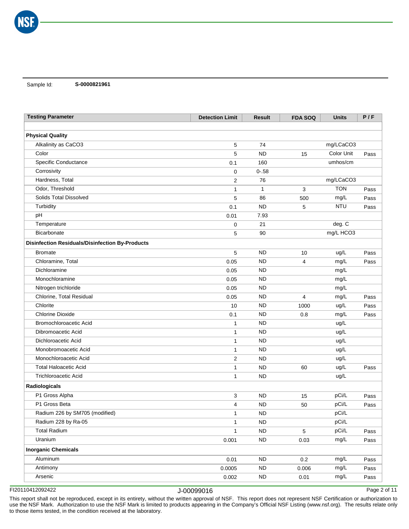Sample Id: **S-0000821961**

| <b>Physical Quality</b><br>Alkalinity as CaCO3<br>74<br>mg/LCaCO3<br>5<br>Color<br>Color Unit<br><b>ND</b><br>5<br>15<br>Pass<br>Specific Conductance<br>160<br>umhos/cm<br>0.1<br>Corrosivity<br>$0 - .58$<br>0<br>Hardness, Total<br>mg/LCaCO3<br>$\overline{2}$<br>76<br><b>TON</b><br>Odor, Threshold<br>$\mathbf{1}$<br>1<br>3<br>Pass<br>Solids Total Dissolved<br>mg/L<br>5<br>86<br>500<br>Pass<br>Turbidity<br><b>NTU</b><br><b>ND</b><br>5<br>0.1<br>Pass<br>pH<br>7.93<br>0.01<br>Temperature<br>21<br>0<br>deg. C<br>mg/L HCO3<br>Bicarbonate<br>5<br>90<br><b>Disinfection Residuals/Disinfection By-Products</b><br><b>Bromate</b><br>5<br><b>ND</b><br>ug/L<br>10<br>Pass<br>Chloramine, Total<br><b>ND</b><br>0.05<br>mg/L<br>4<br>Pass<br>Dichloramine<br><b>ND</b><br>mg/L<br>0.05<br>Monochloramine<br>mg/L<br><b>ND</b><br>0.05<br>Nitrogen trichloride<br>mg/L<br><b>ND</b><br>0.05<br>Chlorine, Total Residual<br><b>ND</b><br>0.05<br>mg/L<br>$\overline{4}$<br>Pass<br>Chlorite<br><b>ND</b><br>ug/L<br>10<br>1000<br>Pass<br><b>Chlorine Dioxide</b><br><b>ND</b><br>mg/L<br>0.1<br>0.8<br>Pass<br>Bromochloroacetic Acid<br><b>ND</b><br>ug/L<br>$\mathbf{1}$<br>Dibromoacetic Acid<br>ug/L<br><b>ND</b><br>$\mathbf{1}$<br>ug/L<br>Dichloroacetic Acid<br><b>ND</b><br>1<br>ug/L<br>Monobromoacetic Acid<br><b>ND</b><br>1<br>Monochloroacetic Acid<br><b>ND</b><br>ug/L<br>$\overline{2}$<br><b>Total Haloacetic Acid</b><br><b>ND</b><br>ug/L<br>60<br>Pass<br>1<br><b>Trichloroacetic Acid</b><br><b>ND</b><br>ug/L<br>$\mathbf{1}$<br>Radiologicals<br>P1 Gross Alpha<br><b>ND</b><br>pCi/L<br>3<br>15<br>Pass<br>P1 Gross Beta<br>pCi/L<br>4<br><b>ND</b><br>50<br>Pass<br>pCi/L<br>Radium 226 by SM705 (modified)<br><b>ND</b><br>1<br>pCi/L<br>Radium 228 by Ra-05<br><b>ND</b><br>1<br><b>Total Radium</b><br>pCi/L<br><b>ND</b><br>5<br>Pass<br>$\mathbf{1}$<br>Uranium<br><b>ND</b><br>mg/L<br>0.001<br>0.03<br>Pass<br><b>Inorganic Chemicals</b><br>Aluminum<br>0.01<br><b>ND</b><br>0.2<br>mg/L<br>Pass<br>Antimony<br><b>ND</b><br>0.0005<br>0.006<br>mg/L<br>Pass<br>Arsenic<br><b>ND</b><br>0.002<br>mg/L<br>0.01<br>Pass | <b>Testing Parameter</b> | <b>Detection Limit</b> | <b>Result</b> | <b>FDA SOQ</b> | <b>Units</b> | P/F |
|----------------------------------------------------------------------------------------------------------------------------------------------------------------------------------------------------------------------------------------------------------------------------------------------------------------------------------------------------------------------------------------------------------------------------------------------------------------------------------------------------------------------------------------------------------------------------------------------------------------------------------------------------------------------------------------------------------------------------------------------------------------------------------------------------------------------------------------------------------------------------------------------------------------------------------------------------------------------------------------------------------------------------------------------------------------------------------------------------------------------------------------------------------------------------------------------------------------------------------------------------------------------------------------------------------------------------------------------------------------------------------------------------------------------------------------------------------------------------------------------------------------------------------------------------------------------------------------------------------------------------------------------------------------------------------------------------------------------------------------------------------------------------------------------------------------------------------------------------------------------------------------------------------------------------------------------------------------------------------------------------------------------------------------------------------------------------------------------------------------------------------------------------------------------|--------------------------|------------------------|---------------|----------------|--------------|-----|
|                                                                                                                                                                                                                                                                                                                                                                                                                                                                                                                                                                                                                                                                                                                                                                                                                                                                                                                                                                                                                                                                                                                                                                                                                                                                                                                                                                                                                                                                                                                                                                                                                                                                                                                                                                                                                                                                                                                                                                                                                                                                                                                                                                      |                          |                        |               |                |              |     |
|                                                                                                                                                                                                                                                                                                                                                                                                                                                                                                                                                                                                                                                                                                                                                                                                                                                                                                                                                                                                                                                                                                                                                                                                                                                                                                                                                                                                                                                                                                                                                                                                                                                                                                                                                                                                                                                                                                                                                                                                                                                                                                                                                                      |                          |                        |               |                |              |     |
|                                                                                                                                                                                                                                                                                                                                                                                                                                                                                                                                                                                                                                                                                                                                                                                                                                                                                                                                                                                                                                                                                                                                                                                                                                                                                                                                                                                                                                                                                                                                                                                                                                                                                                                                                                                                                                                                                                                                                                                                                                                                                                                                                                      |                          |                        |               |                |              |     |
|                                                                                                                                                                                                                                                                                                                                                                                                                                                                                                                                                                                                                                                                                                                                                                                                                                                                                                                                                                                                                                                                                                                                                                                                                                                                                                                                                                                                                                                                                                                                                                                                                                                                                                                                                                                                                                                                                                                                                                                                                                                                                                                                                                      |                          |                        |               |                |              |     |
|                                                                                                                                                                                                                                                                                                                                                                                                                                                                                                                                                                                                                                                                                                                                                                                                                                                                                                                                                                                                                                                                                                                                                                                                                                                                                                                                                                                                                                                                                                                                                                                                                                                                                                                                                                                                                                                                                                                                                                                                                                                                                                                                                                      |                          |                        |               |                |              |     |
|                                                                                                                                                                                                                                                                                                                                                                                                                                                                                                                                                                                                                                                                                                                                                                                                                                                                                                                                                                                                                                                                                                                                                                                                                                                                                                                                                                                                                                                                                                                                                                                                                                                                                                                                                                                                                                                                                                                                                                                                                                                                                                                                                                      |                          |                        |               |                |              |     |
|                                                                                                                                                                                                                                                                                                                                                                                                                                                                                                                                                                                                                                                                                                                                                                                                                                                                                                                                                                                                                                                                                                                                                                                                                                                                                                                                                                                                                                                                                                                                                                                                                                                                                                                                                                                                                                                                                                                                                                                                                                                                                                                                                                      |                          |                        |               |                |              |     |
|                                                                                                                                                                                                                                                                                                                                                                                                                                                                                                                                                                                                                                                                                                                                                                                                                                                                                                                                                                                                                                                                                                                                                                                                                                                                                                                                                                                                                                                                                                                                                                                                                                                                                                                                                                                                                                                                                                                                                                                                                                                                                                                                                                      |                          |                        |               |                |              |     |
|                                                                                                                                                                                                                                                                                                                                                                                                                                                                                                                                                                                                                                                                                                                                                                                                                                                                                                                                                                                                                                                                                                                                                                                                                                                                                                                                                                                                                                                                                                                                                                                                                                                                                                                                                                                                                                                                                                                                                                                                                                                                                                                                                                      |                          |                        |               |                |              |     |
|                                                                                                                                                                                                                                                                                                                                                                                                                                                                                                                                                                                                                                                                                                                                                                                                                                                                                                                                                                                                                                                                                                                                                                                                                                                                                                                                                                                                                                                                                                                                                                                                                                                                                                                                                                                                                                                                                                                                                                                                                                                                                                                                                                      |                          |                        |               |                |              |     |
|                                                                                                                                                                                                                                                                                                                                                                                                                                                                                                                                                                                                                                                                                                                                                                                                                                                                                                                                                                                                                                                                                                                                                                                                                                                                                                                                                                                                                                                                                                                                                                                                                                                                                                                                                                                                                                                                                                                                                                                                                                                                                                                                                                      |                          |                        |               |                |              |     |
|                                                                                                                                                                                                                                                                                                                                                                                                                                                                                                                                                                                                                                                                                                                                                                                                                                                                                                                                                                                                                                                                                                                                                                                                                                                                                                                                                                                                                                                                                                                                                                                                                                                                                                                                                                                                                                                                                                                                                                                                                                                                                                                                                                      |                          |                        |               |                |              |     |
|                                                                                                                                                                                                                                                                                                                                                                                                                                                                                                                                                                                                                                                                                                                                                                                                                                                                                                                                                                                                                                                                                                                                                                                                                                                                                                                                                                                                                                                                                                                                                                                                                                                                                                                                                                                                                                                                                                                                                                                                                                                                                                                                                                      |                          |                        |               |                |              |     |
|                                                                                                                                                                                                                                                                                                                                                                                                                                                                                                                                                                                                                                                                                                                                                                                                                                                                                                                                                                                                                                                                                                                                                                                                                                                                                                                                                                                                                                                                                                                                                                                                                                                                                                                                                                                                                                                                                                                                                                                                                                                                                                                                                                      |                          |                        |               |                |              |     |
|                                                                                                                                                                                                                                                                                                                                                                                                                                                                                                                                                                                                                                                                                                                                                                                                                                                                                                                                                                                                                                                                                                                                                                                                                                                                                                                                                                                                                                                                                                                                                                                                                                                                                                                                                                                                                                                                                                                                                                                                                                                                                                                                                                      |                          |                        |               |                |              |     |
|                                                                                                                                                                                                                                                                                                                                                                                                                                                                                                                                                                                                                                                                                                                                                                                                                                                                                                                                                                                                                                                                                                                                                                                                                                                                                                                                                                                                                                                                                                                                                                                                                                                                                                                                                                                                                                                                                                                                                                                                                                                                                                                                                                      |                          |                        |               |                |              |     |
|                                                                                                                                                                                                                                                                                                                                                                                                                                                                                                                                                                                                                                                                                                                                                                                                                                                                                                                                                                                                                                                                                                                                                                                                                                                                                                                                                                                                                                                                                                                                                                                                                                                                                                                                                                                                                                                                                                                                                                                                                                                                                                                                                                      |                          |                        |               |                |              |     |
|                                                                                                                                                                                                                                                                                                                                                                                                                                                                                                                                                                                                                                                                                                                                                                                                                                                                                                                                                                                                                                                                                                                                                                                                                                                                                                                                                                                                                                                                                                                                                                                                                                                                                                                                                                                                                                                                                                                                                                                                                                                                                                                                                                      |                          |                        |               |                |              |     |
|                                                                                                                                                                                                                                                                                                                                                                                                                                                                                                                                                                                                                                                                                                                                                                                                                                                                                                                                                                                                                                                                                                                                                                                                                                                                                                                                                                                                                                                                                                                                                                                                                                                                                                                                                                                                                                                                                                                                                                                                                                                                                                                                                                      |                          |                        |               |                |              |     |
|                                                                                                                                                                                                                                                                                                                                                                                                                                                                                                                                                                                                                                                                                                                                                                                                                                                                                                                                                                                                                                                                                                                                                                                                                                                                                                                                                                                                                                                                                                                                                                                                                                                                                                                                                                                                                                                                                                                                                                                                                                                                                                                                                                      |                          |                        |               |                |              |     |
|                                                                                                                                                                                                                                                                                                                                                                                                                                                                                                                                                                                                                                                                                                                                                                                                                                                                                                                                                                                                                                                                                                                                                                                                                                                                                                                                                                                                                                                                                                                                                                                                                                                                                                                                                                                                                                                                                                                                                                                                                                                                                                                                                                      |                          |                        |               |                |              |     |
|                                                                                                                                                                                                                                                                                                                                                                                                                                                                                                                                                                                                                                                                                                                                                                                                                                                                                                                                                                                                                                                                                                                                                                                                                                                                                                                                                                                                                                                                                                                                                                                                                                                                                                                                                                                                                                                                                                                                                                                                                                                                                                                                                                      |                          |                        |               |                |              |     |
|                                                                                                                                                                                                                                                                                                                                                                                                                                                                                                                                                                                                                                                                                                                                                                                                                                                                                                                                                                                                                                                                                                                                                                                                                                                                                                                                                                                                                                                                                                                                                                                                                                                                                                                                                                                                                                                                                                                                                                                                                                                                                                                                                                      |                          |                        |               |                |              |     |
|                                                                                                                                                                                                                                                                                                                                                                                                                                                                                                                                                                                                                                                                                                                                                                                                                                                                                                                                                                                                                                                                                                                                                                                                                                                                                                                                                                                                                                                                                                                                                                                                                                                                                                                                                                                                                                                                                                                                                                                                                                                                                                                                                                      |                          |                        |               |                |              |     |
|                                                                                                                                                                                                                                                                                                                                                                                                                                                                                                                                                                                                                                                                                                                                                                                                                                                                                                                                                                                                                                                                                                                                                                                                                                                                                                                                                                                                                                                                                                                                                                                                                                                                                                                                                                                                                                                                                                                                                                                                                                                                                                                                                                      |                          |                        |               |                |              |     |
|                                                                                                                                                                                                                                                                                                                                                                                                                                                                                                                                                                                                                                                                                                                                                                                                                                                                                                                                                                                                                                                                                                                                                                                                                                                                                                                                                                                                                                                                                                                                                                                                                                                                                                                                                                                                                                                                                                                                                                                                                                                                                                                                                                      |                          |                        |               |                |              |     |
|                                                                                                                                                                                                                                                                                                                                                                                                                                                                                                                                                                                                                                                                                                                                                                                                                                                                                                                                                                                                                                                                                                                                                                                                                                                                                                                                                                                                                                                                                                                                                                                                                                                                                                                                                                                                                                                                                                                                                                                                                                                                                                                                                                      |                          |                        |               |                |              |     |
|                                                                                                                                                                                                                                                                                                                                                                                                                                                                                                                                                                                                                                                                                                                                                                                                                                                                                                                                                                                                                                                                                                                                                                                                                                                                                                                                                                                                                                                                                                                                                                                                                                                                                                                                                                                                                                                                                                                                                                                                                                                                                                                                                                      |                          |                        |               |                |              |     |
|                                                                                                                                                                                                                                                                                                                                                                                                                                                                                                                                                                                                                                                                                                                                                                                                                                                                                                                                                                                                                                                                                                                                                                                                                                                                                                                                                                                                                                                                                                                                                                                                                                                                                                                                                                                                                                                                                                                                                                                                                                                                                                                                                                      |                          |                        |               |                |              |     |
|                                                                                                                                                                                                                                                                                                                                                                                                                                                                                                                                                                                                                                                                                                                                                                                                                                                                                                                                                                                                                                                                                                                                                                                                                                                                                                                                                                                                                                                                                                                                                                                                                                                                                                                                                                                                                                                                                                                                                                                                                                                                                                                                                                      |                          |                        |               |                |              |     |
|                                                                                                                                                                                                                                                                                                                                                                                                                                                                                                                                                                                                                                                                                                                                                                                                                                                                                                                                                                                                                                                                                                                                                                                                                                                                                                                                                                                                                                                                                                                                                                                                                                                                                                                                                                                                                                                                                                                                                                                                                                                                                                                                                                      |                          |                        |               |                |              |     |
|                                                                                                                                                                                                                                                                                                                                                                                                                                                                                                                                                                                                                                                                                                                                                                                                                                                                                                                                                                                                                                                                                                                                                                                                                                                                                                                                                                                                                                                                                                                                                                                                                                                                                                                                                                                                                                                                                                                                                                                                                                                                                                                                                                      |                          |                        |               |                |              |     |
|                                                                                                                                                                                                                                                                                                                                                                                                                                                                                                                                                                                                                                                                                                                                                                                                                                                                                                                                                                                                                                                                                                                                                                                                                                                                                                                                                                                                                                                                                                                                                                                                                                                                                                                                                                                                                                                                                                                                                                                                                                                                                                                                                                      |                          |                        |               |                |              |     |
|                                                                                                                                                                                                                                                                                                                                                                                                                                                                                                                                                                                                                                                                                                                                                                                                                                                                                                                                                                                                                                                                                                                                                                                                                                                                                                                                                                                                                                                                                                                                                                                                                                                                                                                                                                                                                                                                                                                                                                                                                                                                                                                                                                      |                          |                        |               |                |              |     |
|                                                                                                                                                                                                                                                                                                                                                                                                                                                                                                                                                                                                                                                                                                                                                                                                                                                                                                                                                                                                                                                                                                                                                                                                                                                                                                                                                                                                                                                                                                                                                                                                                                                                                                                                                                                                                                                                                                                                                                                                                                                                                                                                                                      |                          |                        |               |                |              |     |
|                                                                                                                                                                                                                                                                                                                                                                                                                                                                                                                                                                                                                                                                                                                                                                                                                                                                                                                                                                                                                                                                                                                                                                                                                                                                                                                                                                                                                                                                                                                                                                                                                                                                                                                                                                                                                                                                                                                                                                                                                                                                                                                                                                      |                          |                        |               |                |              |     |
|                                                                                                                                                                                                                                                                                                                                                                                                                                                                                                                                                                                                                                                                                                                                                                                                                                                                                                                                                                                                                                                                                                                                                                                                                                                                                                                                                                                                                                                                                                                                                                                                                                                                                                                                                                                                                                                                                                                                                                                                                                                                                                                                                                      |                          |                        |               |                |              |     |
|                                                                                                                                                                                                                                                                                                                                                                                                                                                                                                                                                                                                                                                                                                                                                                                                                                                                                                                                                                                                                                                                                                                                                                                                                                                                                                                                                                                                                                                                                                                                                                                                                                                                                                                                                                                                                                                                                                                                                                                                                                                                                                                                                                      |                          |                        |               |                |              |     |
|                                                                                                                                                                                                                                                                                                                                                                                                                                                                                                                                                                                                                                                                                                                                                                                                                                                                                                                                                                                                                                                                                                                                                                                                                                                                                                                                                                                                                                                                                                                                                                                                                                                                                                                                                                                                                                                                                                                                                                                                                                                                                                                                                                      |                          |                        |               |                |              |     |
|                                                                                                                                                                                                                                                                                                                                                                                                                                                                                                                                                                                                                                                                                                                                                                                                                                                                                                                                                                                                                                                                                                                                                                                                                                                                                                                                                                                                                                                                                                                                                                                                                                                                                                                                                                                                                                                                                                                                                                                                                                                                                                                                                                      |                          |                        |               |                |              |     |

FI20110412092422 J-00099016

Page 2 of 11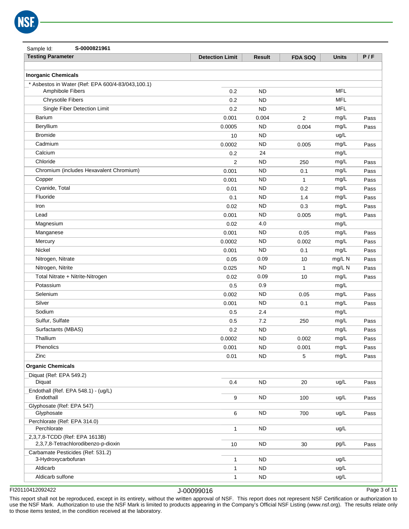

| S-0000821961<br>Sample Id:                                            |                        |                        |                |              |      |
|-----------------------------------------------------------------------|------------------------|------------------------|----------------|--------------|------|
| <b>Testing Parameter</b>                                              | <b>Detection Limit</b> | <b>Result</b>          | <b>FDA SOQ</b> | <b>Units</b> | P/F  |
|                                                                       |                        |                        |                |              |      |
| <b>Inorganic Chemicals</b>                                            |                        |                        |                |              |      |
| * Asbestos in Water (Ref: EPA 600/4-83/043,100.1)<br>Amphibole Fibers |                        |                        |                | <b>MFL</b>   |      |
|                                                                       | 0.2                    | <b>ND</b>              |                | <b>MFL</b>   |      |
| <b>Chrysotile Fibers</b>                                              | 0.2                    | <b>ND</b>              |                | <b>MFL</b>   |      |
| Single Fiber Detection Limit<br><b>Barium</b>                         | 0.2                    | <b>ND</b>              |                |              |      |
|                                                                       | 0.001                  | 0.004                  | 2              | mg/L         | Pass |
| Beryllium<br><b>Bromide</b>                                           | 0.0005                 | <b>ND</b>              | 0.004          | mg/L         | Pass |
|                                                                       | 10                     | <b>ND</b><br><b>ND</b> |                | ug/L         |      |
| Cadmium<br>Calcium                                                    | 0.0002                 |                        | 0.005          | mg/L         | Pass |
| Chloride                                                              | 0.2                    | 24<br><b>ND</b>        |                | mg/L<br>mg/L |      |
| Chromium (includes Hexavalent Chromium)                               | $\overline{2}$         | <b>ND</b>              | 250            |              | Pass |
|                                                                       | 0.001                  |                        | 0.1            | mg/L         | Pass |
| Copper                                                                | 0.001                  | <b>ND</b>              | $\mathbf{1}$   | mg/L         | Pass |
| Cyanide, Total<br>Fluoride                                            | 0.01                   | <b>ND</b>              | 0.2            | mg/L         | Pass |
|                                                                       | 0.1                    | <b>ND</b>              | 1.4            | mg/L         | Pass |
| Iron                                                                  | 0.02                   | <b>ND</b>              | 0.3            | mg/L         | Pass |
| Lead<br>Magnesium                                                     | 0.001                  | <b>ND</b>              | 0.005          | mg/L         | Pass |
|                                                                       | 0.02                   | 4.0                    |                | mg/L         |      |
| Manganese                                                             | 0.001                  | <b>ND</b>              | 0.05           | mg/L         | Pass |
| Mercury                                                               | 0.0002                 | <b>ND</b>              | 0.002          | mg/L         | Pass |
| Nickel                                                                | 0.001                  | <b>ND</b>              | 0.1            | mg/L         | Pass |
| Nitrogen, Nitrate                                                     | 0.05                   | 0.09                   | 10             | mg/L N       | Pass |
| Nitrogen, Nitrite                                                     | 0.025                  | <b>ND</b>              | $\mathbf{1}$   | mg/L N       | Pass |
| Total Nitrate + Nitrite-Nitrogen                                      | 0.02                   | 0.09                   | 10             | mg/L         | Pass |
| Potassium                                                             | 0.5                    | 0.9                    |                | mg/L         |      |
| Selenium                                                              | 0.002                  | <b>ND</b>              | 0.05           | mg/L         | Pass |
| Silver                                                                | 0.001                  | <b>ND</b>              | 0.1            | mg/L         | Pass |
| Sodium                                                                | 0.5                    | 2.4                    |                | mg/L         |      |
| Sulfur, Sulfate                                                       | 0.5                    | 7.2                    | 250            | mg/L         | Pass |
| Surfactants (MBAS)                                                    | 0.2                    | <b>ND</b>              |                | mg/L         | Pass |
| Thallium                                                              | 0.0002                 | <b>ND</b>              | 0.002          | mg/L         | Pass |
| Phenolics                                                             | 0.001                  | ND                     | 0.001          | mg/L         | Pass |
| Zinc                                                                  | 0.01                   | <b>ND</b>              | 5              | mg/L         | Pass |
| <b>Organic Chemicals</b>                                              |                        |                        |                |              |      |
| Diquat (Ref: EPA 549.2)                                               |                        |                        |                |              |      |
| Diquat                                                                | 0.4                    | <b>ND</b>              | 20             | ug/L         | Pass |
| Endothall (Ref. EPA 548.1) - (ug/L)<br>Endothall                      | 9                      | <b>ND</b>              | 100            | ug/L         | Pass |
| Glyphosate (Ref: EPA 547)                                             |                        |                        |                |              |      |
| Glyphosate                                                            | 6                      | <b>ND</b>              | 700            | ug/L         | Pass |
| Perchlorate (Ref: EPA 314.0)<br>Perchlorate                           | 1                      | ND.                    |                | ug/L         |      |
| 2,3,7,8-TCDD (Ref: EPA 1613B)                                         |                        |                        |                |              |      |
| 2,3,7,8-Tetrachlorodibenzo-p-dioxin                                   | 10                     | ND.                    | 30             | pg/L         | Pass |
| Carbamate Pesticides (Ref: 531.2)<br>3-Hydroxycarbofuran              | 1                      | <b>ND</b>              |                | ug/L         |      |
| Aldicarb                                                              | 1                      | <b>ND</b>              |                | ug/L         |      |
| Aldicarb sulfone                                                      | $\mathbf{1}$           | <b>ND</b>              |                | ug/L         |      |
|                                                                       |                        |                        |                |              |      |

Page 3 of 11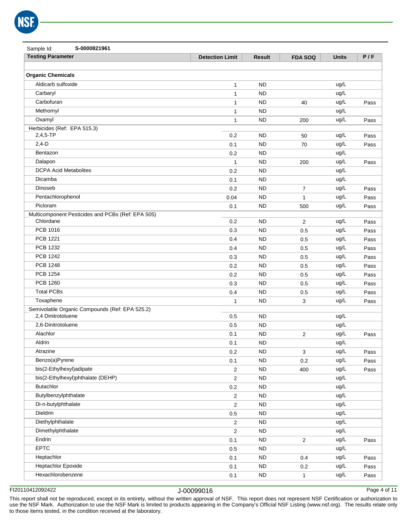| Sample Id:<br>S-0000821961                        |                        |               |                |              |      |
|---------------------------------------------------|------------------------|---------------|----------------|--------------|------|
| <b>Testing Parameter</b>                          | <b>Detection Limit</b> | <b>Result</b> | <b>FDA SOQ</b> | <b>Units</b> | P/F  |
|                                                   |                        |               |                |              |      |
| <b>Organic Chemicals</b>                          |                        |               |                |              |      |
| Aldicarb sulfoxide                                | $\mathbf{1}$           | <b>ND</b>     |                | ug/L         |      |
| Carbaryl                                          | $\mathbf{1}$           | <b>ND</b>     |                | ug/L         |      |
| Carbofuran                                        | $\mathbf{1}$           | <b>ND</b>     | 40             | ug/L         | Pass |
| Methomyl                                          | 1                      | <b>ND</b>     |                | ug/L         |      |
| Oxamyl                                            | $\mathbf{1}$           | <b>ND</b>     | 200            | ug/L         | Pass |
| Herbicides (Ref: EPA 515.3)                       |                        |               |                |              |      |
| $2,4,5$ -TP                                       | 0.2                    | <b>ND</b>     | 50             | ug/L         | Pass |
| $2,4-D$                                           | 0.1                    | <b>ND</b>     | 70             | ug/L         | Pass |
| Bentazon                                          | 0.2                    | <b>ND</b>     |                | ug/L         |      |
| Dalapon                                           | $\mathbf{1}$           | <b>ND</b>     | 200            | ug/L         | Pass |
| <b>DCPA Acid Metabolites</b>                      | 0.2                    | <b>ND</b>     |                | ug/L         |      |
| Dicamba                                           | 0.1                    | <b>ND</b>     |                | ug/L         |      |
| Dinoseb                                           | 0.2                    | <b>ND</b>     | $\overline{7}$ | ug/L         | Pass |
| Pentachlorophenol                                 | 0.04                   | <b>ND</b>     | $\mathbf{1}$   | ug/L         | Pass |
| Picloram                                          | 0.1                    | <b>ND</b>     | 500            | ug/L         | Pass |
| Multicomponent Pesticides and PCBs (Ref: EPA 505) |                        |               |                |              |      |
| Chlordane                                         | 0.2                    | <b>ND</b>     | 2              | ug/L         | Pass |
| PCB 1016                                          | 0.3                    | <b>ND</b>     | 0.5            | ug/L         | Pass |
| <b>PCB 1221</b>                                   | 0.4                    | <b>ND</b>     | 0.5            | ug/L         | Pass |
| PCB 1232                                          | 0.4                    | <b>ND</b>     | 0.5            | ug/L         | Pass |
| <b>PCB 1242</b>                                   | 0.3                    | <b>ND</b>     | 0.5            | ug/L         | Pass |
| <b>PCB 1248</b>                                   | 0.2                    | <b>ND</b>     | 0.5            | ug/L         | Pass |
| <b>PCB 1254</b>                                   | 0.2                    | <b>ND</b>     | 0.5            | ug/L         | Pass |
| <b>PCB 1260</b>                                   | 0.3                    | <b>ND</b>     | 0.5            | ug/L         | Pass |
| <b>Total PCBs</b>                                 | 0.4                    | <b>ND</b>     | 0.5            | ug/L         | Pass |
| Toxaphene                                         | $\mathbf{1}$           | <b>ND</b>     | 3              | ug/L         | Pass |
| Semivolatile Organic Compounds (Ref: EPA 525.2)   |                        |               |                |              |      |
| 2,4 Dinitrotoluene                                | 0.5                    | <b>ND</b>     |                | ug/L         |      |
| 2,6-Dinitrotoluene                                | 0.5                    | <b>ND</b>     |                | ug/L         |      |
| Alachlor                                          | 0.1                    | <b>ND</b>     | 2              | ug/L         | Pass |
| Aldrin                                            | 0.1                    | <b>ND</b>     |                | ug/L         |      |
| Atrazine                                          | 0.2                    | <b>ND</b>     | 3              | ug/L         | Pass |
| Benzo(a)Pyrene                                    | 0.1                    | <b>ND</b>     | 0.2            | ug/L         | Pass |
| bis(2-Ethylhexyl)adipate                          | $\mathbf 2$            | ND            | 400            | ug/L         | Pass |
| bis(2-Ethylhexyl)phthalate (DEHP)                 | $\overline{2}$         | <b>ND</b>     |                | ug/L         |      |
| <b>Butachlor</b>                                  | 0.2                    | <b>ND</b>     |                | ug/L         |      |
| Butylbenzylphthalate                              | $\overline{2}$         | ${\sf ND}$    |                | ug/L         |      |
| Di-n-butylphthalate                               | $\mathbf 2$            | <b>ND</b>     |                | ug/L         |      |
| Dieldrin                                          | 0.5                    | ND            |                | ug/L         |      |
| Diethylphthalate                                  | $\mathbf 2$            | <b>ND</b>     |                | ug/L         |      |
| Dimethylphthalate                                 | $\overline{2}$         | <b>ND</b>     |                | ug/L         |      |
| Endrin                                            | 0.1                    | <b>ND</b>     | $\sqrt{2}$     | ug/L         | Pass |
| <b>EPTC</b>                                       | 0.5                    | <b>ND</b>     |                | ug/L         |      |
| Heptachlor                                        | 0.1                    | <b>ND</b>     | 0.4            | ug/L         | Pass |
| <b>Heptachlor Epoxide</b>                         | 0.1                    | <b>ND</b>     | 0.2            | ug/L         | Pass |
| Hexachlorobenzene                                 | 0.1                    | <b>ND</b>     | $\mathbf{1}$   | ug/L         | Pass |

Page 4 of 11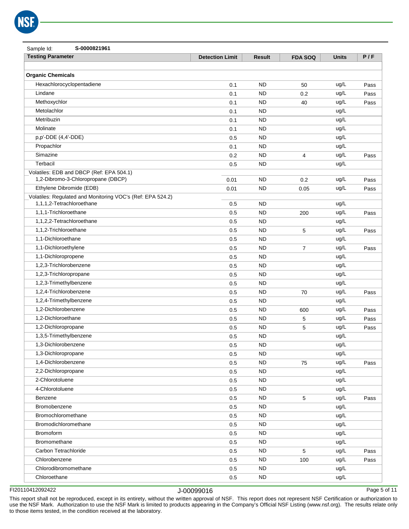| S-0000821961<br>Sample Id:                                                              |                        |               |                |              |      |
|-----------------------------------------------------------------------------------------|------------------------|---------------|----------------|--------------|------|
| <b>Testing Parameter</b>                                                                | <b>Detection Limit</b> | <b>Result</b> | <b>FDA SOQ</b> | <b>Units</b> | P/F  |
|                                                                                         |                        |               |                |              |      |
| <b>Organic Chemicals</b>                                                                |                        |               |                |              |      |
| Hexachlorocyclopentadiene                                                               | 0.1                    | <b>ND</b>     | 50             | ug/L         | Pass |
| Lindane                                                                                 | 0.1                    | <b>ND</b>     | 0.2            | ug/L         | Pass |
| Methoxychlor                                                                            | 0.1                    | <b>ND</b>     | 40             | ug/L         | Pass |
| Metolachlor                                                                             | 0.1                    | <b>ND</b>     |                | ug/L         |      |
| Metribuzin                                                                              | 0.1                    | <b>ND</b>     |                | ug/L         |      |
| Molinate                                                                                | 0.1                    | <b>ND</b>     |                | ug/L         |      |
| p,p'-DDE (4,4'-DDE)                                                                     | 0.5                    | <b>ND</b>     |                | ug/L         |      |
| Propachlor                                                                              | 0.1                    | <b>ND</b>     |                | ug/L         |      |
| Simazine                                                                                | 0.2                    | <b>ND</b>     | $\overline{4}$ | ug/L         | Pass |
| Terbacil                                                                                | 0.5                    | <b>ND</b>     |                | ug/L         |      |
| Volatiles: EDB and DBCP (Ref: EPA 504.1)                                                |                        |               |                |              |      |
| 1,2-Dibromo-3-Chloropropane (DBCP)                                                      | 0.01                   | <b>ND</b>     | 0.2            | ug/L         | Pass |
| Ethylene Dibromide (EDB)                                                                | 0.01                   | <b>ND</b>     | 0.05           | ug/L         | Pass |
| Volatiles: Regulated and Monitoring VOC's (Ref: EPA 524.2)<br>1.1.1.2-Tetrachloroethane |                        |               |                |              |      |
|                                                                                         | 0.5                    | <b>ND</b>     |                | ug/L         |      |
| 1,1,1-Trichloroethane                                                                   | 0.5                    | <b>ND</b>     | 200            | ug/L         | Pass |
| 1,1,2,2-Tetrachloroethane                                                               | 0.5                    | <b>ND</b>     |                | ug/L         |      |
| 1,1,2-Trichloroethane                                                                   | 0.5                    | <b>ND</b>     | 5              | ug/L         | Pass |
| 1,1-Dichloroethane                                                                      | 0.5                    | <b>ND</b>     |                | ug/L         |      |
| 1,1-Dichloroethylene                                                                    | 0.5                    | <b>ND</b>     | 7              | ug/L         | Pass |
| 1,1-Dichloropropene                                                                     | 0.5                    | <b>ND</b>     |                | ug/L         |      |
| 1,2,3-Trichlorobenzene                                                                  | 0.5                    | <b>ND</b>     |                | ug/L         |      |
| 1,2,3-Trichloropropane                                                                  | 0.5                    | <b>ND</b>     |                | ug/L         |      |
| 1,2,3-Trimethylbenzene                                                                  | 0.5                    | <b>ND</b>     |                | ug/L         |      |
| 1,2,4-Trichlorobenzene                                                                  | 0.5                    | <b>ND</b>     | 70             | ug/L         | Pass |
| 1,2,4-Trimethylbenzene                                                                  | 0.5                    | <b>ND</b>     |                | ug/L         |      |
| 1,2-Dichlorobenzene                                                                     | 0.5                    | <b>ND</b>     | 600            | ug/L         | Pass |
| 1,2-Dichloroethane                                                                      | 0.5                    | <b>ND</b>     | 5              | ug/L         | Pass |
| 1,2-Dichloropropane                                                                     | 0.5                    | <b>ND</b>     | 5              | ug/L         | Pass |
| 1,3,5-Trimethylbenzene                                                                  | 0.5                    | <b>ND</b>     |                | ug/L         |      |
| 1,3-Dichlorobenzene                                                                     | 0.5                    | <b>ND</b>     |                | ug/L         |      |
| 1,3-Dichloropropane                                                                     | 0.5                    | <b>ND</b>     |                | ug/L         |      |
| 1,4-Dichlorobenzene                                                                     | 0.5                    | <b>ND</b>     | 75             | ug/L         | Pass |
| 2,2-Dichloropropane                                                                     | 0.5                    | <b>ND</b>     |                | ug/L         |      |
| 2-Chlorotoluene                                                                         | 0.5                    | <b>ND</b>     |                | ug/L         |      |
| 4-Chlorotoluene                                                                         | 0.5                    | <b>ND</b>     |                | ug/L         |      |
| Benzene                                                                                 | 0.5                    | <b>ND</b>     | 5              | ug/L         | Pass |
| Bromobenzene                                                                            | 0.5                    | <b>ND</b>     |                | ug/L         |      |
| Bromochloromethane                                                                      | 0.5                    | <b>ND</b>     |                | ug/L         |      |
| Bromodichloromethane                                                                    | 0.5                    | <b>ND</b>     |                | ug/L         |      |
| Bromoform                                                                               | 0.5                    | <b>ND</b>     |                | ug/L         |      |
| Bromomethane                                                                            | 0.5                    | <b>ND</b>     |                | ug/L         |      |
| Carbon Tetrachloride                                                                    | 0.5                    | <b>ND</b>     | 5              | ug/L         | Pass |
| Chlorobenzene                                                                           | 0.5                    | <b>ND</b>     | 100            | ug/L         | Pass |
| Chlorodibromomethane                                                                    | 0.5                    | <b>ND</b>     |                | ug/L         |      |
| Chloroethane                                                                            | 0.5                    | <b>ND</b>     |                | ug/L         |      |

Page 5 of 11